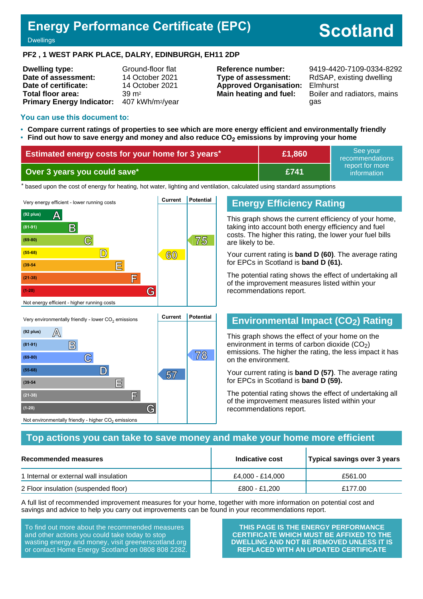## **Energy Performance Certificate (EPC)**

# **Scotland**

#### **Dwellings**

#### **PF2 , 1 WEST PARK PLACE, DALRY, EDINBURGH, EH11 2DP**

| <b>Dwelling type:</b>            | Ground-floor flat            |
|----------------------------------|------------------------------|
| Date of assessment:              | 14 October 2021              |
| Date of certificate:             | 14 October 2021              |
| Total floor area:                | $39 \text{ m}^2$             |
| <b>Primary Energy Indicator:</b> | 407 kWh/m <sup>2</sup> /year |

**Type of assessment:** RdSAP, existing dwelling **Approved Organisation:** Elmhurst

**Reference number:** 9419-4420-7109-0334-8292 **Main heating and fuel:** Boiler and radiators, mains gas

#### **You can use this document to:**

- **Compare current ratings of properties to see which are more energy efficient and environmentally friendly**
- **Find out how to save energy and money and also reduce CO2 emissions by improving your home**

| <b>Estimated energy costs for your home for 3 years*</b> | £1,860      | See vour<br>recommendations    |
|----------------------------------------------------------|-------------|--------------------------------|
| Over 3 years you could save*                             | <b>E741</b> | report for more<br>information |

the based upon the cost of energy for heating, hot water, lighting and ventilation, calculated using standard assumptions



#### **Energy Efficiency Rating**

This graph shows the current efficiency of your home, taking into account both energy efficiency and fuel costs. The higher this rating, the lower your fuel bills are likely to be.

Your current rating is **band D (60)**. The average rating for EPCs in Scotland is **band D (61).**

The potential rating shows the effect of undertaking all of the improvement measures listed within your recommendations report.

## **Environmental Impact (CO2) Rating**

This graph shows the effect of your home on the environment in terms of carbon dioxide  $(CO<sub>2</sub>)$ emissions. The higher the rating, the less impact it has on the environment.

Your current rating is **band D (57)**. The average rating for EPCs in Scotland is **band D (59).**

The potential rating shows the effect of undertaking all of the improvement measures listed within your recommendations report.

#### **Top actions you can take to save money and make your home more efficient**

| Recommended measures                   | Indicative cost  | Typical savings over 3 years |
|----------------------------------------|------------------|------------------------------|
| 1 Internal or external wall insulation | £4.000 - £14.000 | £561.00                      |
| 2 Floor insulation (suspended floor)   | £800 - £1.200    | £177.00                      |

A full list of recommended improvement measures for your home, together with more information on potential cost and savings and advice to help you carry out improvements can be found in your recommendations report.

To find out more about the recommended measures and other actions you could take today to stop wasting energy and money, visit greenerscotland.org or contact Home Energy Scotland on 0808 808 2282.

Not environmentally friendly - higher  $\mathrm{CO}_2$  emissions

**THIS PAGE IS THE ENERGY PERFORMANCE CERTIFICATE WHICH MUST BE AFFIXED TO THE DWELLING AND NOT BE REMOVED UNLESS IT IS REPLACED WITH AN UPDATED CERTIFICATE**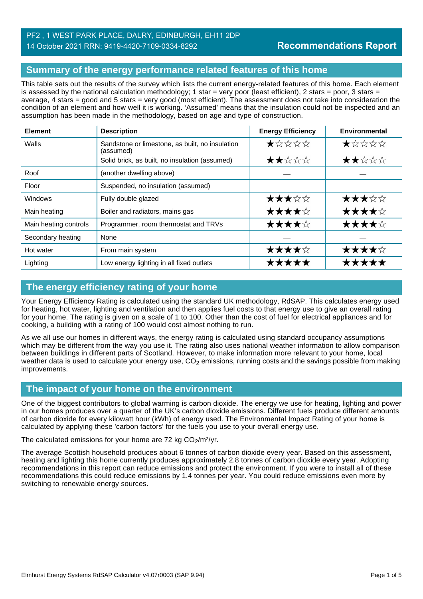## **Summary of the energy performance related features of this home**

This table sets out the results of the survey which lists the current energy-related features of this home. Each element is assessed by the national calculation methodology; 1 star = very poor (least efficient), 2 stars = poor, 3 stars = average, 4 stars = good and 5 stars = very good (most efficient). The assessment does not take into consideration the condition of an element and how well it is working. 'Assumed' means that the insulation could not be inspected and an assumption has been made in the methodology, based on age and type of construction.

| <b>Element</b>        | <b>Description</b>                                           | <b>Energy Efficiency</b> | <b>Environmental</b> |
|-----------------------|--------------------------------------------------------------|--------------------------|----------------------|
| Walls                 | Sandstone or limestone, as built, no insulation<br>(assumed) | $\bigstar x x x x$       | $\bigstar x x x x$   |
|                       | Solid brick, as built, no insulation (assumed)               | ★★☆☆☆                    | ★★☆☆☆                |
| Roof                  | (another dwelling above)                                     |                          |                      |
| Floor                 | Suspended, no insulation (assumed)                           |                          |                      |
| <b>Windows</b>        | Fully double glazed                                          | ★★★☆☆                    | ★★★☆☆                |
| Main heating          | Boiler and radiators, mains gas                              | ★★★★☆                    | ★★★★☆                |
| Main heating controls | Programmer, room thermostat and TRVs                         | ★★★★☆                    | ★★★★☆                |
| Secondary heating     | None                                                         |                          |                      |
| Hot water             | From main system                                             | ★★★★☆                    | ★★★★☆                |
| Lighting              | Low energy lighting in all fixed outlets                     | *****                    | *****                |

## **The energy efficiency rating of your home**

Your Energy Efficiency Rating is calculated using the standard UK methodology, RdSAP. This calculates energy used for heating, hot water, lighting and ventilation and then applies fuel costs to that energy use to give an overall rating for your home. The rating is given on a scale of 1 to 100. Other than the cost of fuel for electrical appliances and for cooking, a building with a rating of 100 would cost almost nothing to run.

As we all use our homes in different ways, the energy rating is calculated using standard occupancy assumptions which may be different from the way you use it. The rating also uses national weather information to allow comparison between buildings in different parts of Scotland. However, to make information more relevant to your home, local weather data is used to calculate your energy use,  $CO<sub>2</sub>$  emissions, running costs and the savings possible from making improvements.

## **The impact of your home on the environment**

One of the biggest contributors to global warming is carbon dioxide. The energy we use for heating, lighting and power in our homes produces over a quarter of the UK's carbon dioxide emissions. Different fuels produce different amounts of carbon dioxide for every kilowatt hour (kWh) of energy used. The Environmental Impact Rating of your home is calculated by applying these 'carbon factors' for the fuels you use to your overall energy use.

The calculated emissions for your home are 72 kg  $CO<sub>2</sub>/m<sup>2</sup>/yr$ .

The average Scottish household produces about 6 tonnes of carbon dioxide every year. Based on this assessment, heating and lighting this home currently produces approximately 2.8 tonnes of carbon dioxide every year. Adopting recommendations in this report can reduce emissions and protect the environment. If you were to install all of these recommendations this could reduce emissions by 1.4 tonnes per year. You could reduce emissions even more by switching to renewable energy sources.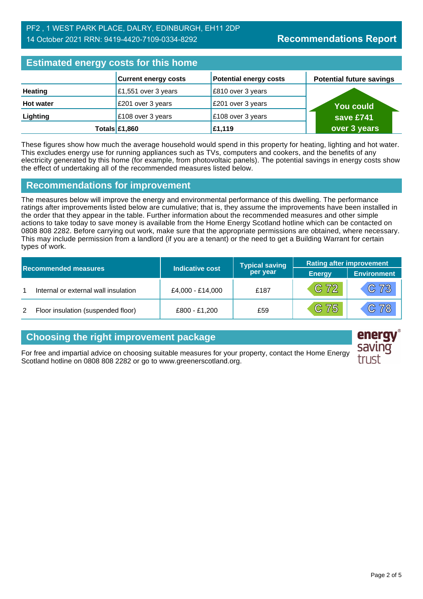| <b>Estimated energy costs for this home</b> |                             |                               |                                 |  |
|---------------------------------------------|-----------------------------|-------------------------------|---------------------------------|--|
|                                             | <b>Current energy costs</b> | <b>Potential energy costs</b> | <b>Potential future savings</b> |  |
| <b>Heating</b>                              | £1,551 over 3 years         | £810 over 3 years             |                                 |  |
| <b>Hot water</b>                            | £201 over 3 years           | £201 over 3 years             | <b>You could</b>                |  |
| Lighting                                    | £108 over 3 years           | £108 over 3 years             | save £741                       |  |
|                                             | Totals $£1,860$             | £1,119                        | over 3 years                    |  |

These figures show how much the average household would spend in this property for heating, lighting and hot water. This excludes energy use for running appliances such as TVs, computers and cookers, and the benefits of any electricity generated by this home (for example, from photovoltaic panels). The potential savings in energy costs show the effect of undertaking all of the recommended measures listed below.

## **Recommendations for improvement**

The measures below will improve the energy and environmental performance of this dwelling. The performance ratings after improvements listed below are cumulative; that is, they assume the improvements have been installed in the order that they appear in the table. Further information about the recommended measures and other simple actions to take today to save money is available from the Home Energy Scotland hotline which can be contacted on 0808 808 2282. Before carrying out work, make sure that the appropriate permissions are obtained, where necessary. This may include permission from a landlord (if you are a tenant) or the need to get a Building Warrant for certain types of work.

| <b>Recommended measures</b> |                                      |                        | <b>Typical saving</b> | <b>Rating after improvement</b> |                    |
|-----------------------------|--------------------------------------|------------------------|-----------------------|---------------------------------|--------------------|
|                             |                                      | <b>Indicative cost</b> | per year              | <b>Energy</b>                   | <b>Environment</b> |
|                             | Internal or external wall insulation | £4,000 - £14,000       | £187                  | $/C$ 72/                        | C73                |
| 2                           | Floor insulation (suspended floor)   | £800 - £1,200          | £59                   | C 75                            | $\mathbb{C}78$     |

## **Choosing the right improvement package**

For free and impartial advice on choosing suitable measures for your property, contact the Home Energy Scotland hotline on 0808 808 2282 or go to www.greenerscotland.org.

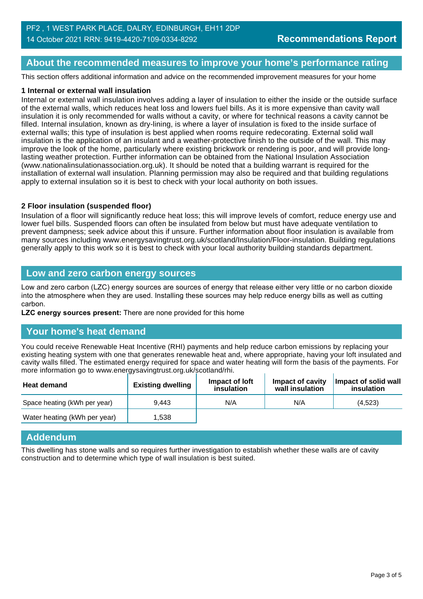#### **About the recommended measures to improve your home's performance rating**

This section offers additional information and advice on the recommended improvement measures for your home

#### **1 Internal or external wall insulation**

Internal or external wall insulation involves adding a layer of insulation to either the inside or the outside surface of the external walls, which reduces heat loss and lowers fuel bills. As it is more expensive than cavity wall insulation it is only recommended for walls without a cavity, or where for technical reasons a cavity cannot be filled. Internal insulation, known as dry-lining, is where a layer of insulation is fixed to the inside surface of external walls; this type of insulation is best applied when rooms require redecorating. External solid wall insulation is the application of an insulant and a weather-protective finish to the outside of the wall. This may improve the look of the home, particularly where existing brickwork or rendering is poor, and will provide longlasting weather protection. Further information can be obtained from the National Insulation Association (www.nationalinsulationassociation.org.uk). It should be noted that a building warrant is required for the installation of external wall insulation. Planning permission may also be required and that building regulations apply to external insulation so it is best to check with your local authority on both issues.

#### **2 Floor insulation (suspended floor)**

Insulation of a floor will significantly reduce heat loss; this will improve levels of comfort, reduce energy use and lower fuel bills. Suspended floors can often be insulated from below but must have adequate ventilation to prevent dampness; seek advice about this if unsure. Further information about floor insulation is available from many sources including www.energysavingtrust.org.uk/scotland/Insulation/Floor-insulation. Building regulations generally apply to this work so it is best to check with your local authority building standards department.

#### **Low and zero carbon energy sources**

Low and zero carbon (LZC) energy sources are sources of energy that release either very little or no carbon dioxide into the atmosphere when they are used. Installing these sources may help reduce energy bills as well as cutting carbon.

**LZC energy sources present:** There are none provided for this home

#### **Your home's heat demand**

You could receive Renewable Heat Incentive (RHI) payments and help reduce carbon emissions by replacing your existing heating system with one that generates renewable heat and, where appropriate, having your loft insulated and cavity walls filled. The estimated energy required for space and water heating will form the basis of the payments. For more information go to www.energysavingtrust.org.uk/scotland/rhi.

| <b>Heat demand</b>           | <b>Existing dwelling</b> | Impact of loft<br>insulation | Impact of cavity<br>wall insulation | Impact of solid wall<br>insulation |
|------------------------------|--------------------------|------------------------------|-------------------------------------|------------------------------------|
| Space heating (kWh per year) | 9.443                    | N/A                          | N/A                                 | (4.523)                            |
| Water heating (kWh per year) | 1.538                    |                              |                                     |                                    |

#### **Addendum**

This dwelling has stone walls and so requires further investigation to establish whether these walls are of cavity construction and to determine which type of wall insulation is best suited.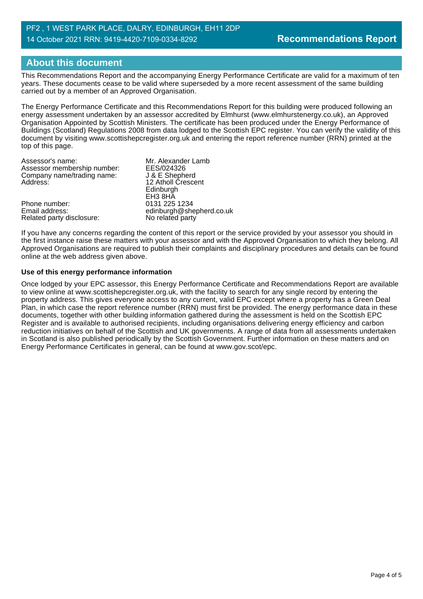## **About this document**

This Recommendations Report and the accompanying Energy Performance Certificate are valid for a maximum of ten years. These documents cease to be valid where superseded by a more recent assessment of the same building carried out by a member of an Approved Organisation.

The Energy Performance Certificate and this Recommendations Report for this building were produced following an energy assessment undertaken by an assessor accredited by Elmhurst (www.elmhurstenergy.co.uk), an Approved Organisation Appointed by Scottish Ministers. The certificate has been produced under the Energy Performance of Buildings (Scotland) Regulations 2008 from data lodged to the Scottish EPC register. You can verify the validity of this document by visiting www.scottishepcregister.org.uk and entering the report reference number (RRN) printed at the top of this page.

| Assessor's name:            | Mr. Alexander Lamb       |
|-----------------------------|--------------------------|
| Assessor membership number: | EES/024326               |
| Company name/trading name:  | J & E Shepherd           |
| Address:                    | 12 Atholl Crescent       |
|                             | Edinburgh                |
|                             | EH <sub>3</sub> 8HA      |
| Phone number:               | 0131 225 1234            |
| Email address:              | edinburgh@shepherd.co.uk |
| Related party disclosure:   | No related party         |

If you have any concerns regarding the content of this report or the service provided by your assessor you should in the first instance raise these matters with your assessor and with the Approved Organisation to which they belong. All Approved Organisations are required to publish their complaints and disciplinary procedures and details can be found online at the web address given above.

#### **Use of this energy performance information**

Once lodged by your EPC assessor, this Energy Performance Certificate and Recommendations Report are available to view online at www.scottishepcregister.org.uk, with the facility to search for any single record by entering the property address. This gives everyone access to any current, valid EPC except where a property has a Green Deal Plan, in which case the report reference number (RRN) must first be provided. The energy performance data in these documents, together with other building information gathered during the assessment is held on the Scottish EPC Register and is available to authorised recipients, including organisations delivering energy efficiency and carbon reduction initiatives on behalf of the Scottish and UK governments. A range of data from all assessments undertaken in Scotland is also published periodically by the Scottish Government. Further information on these matters and on Energy Performance Certificates in general, can be found at www.gov.scot/epc.